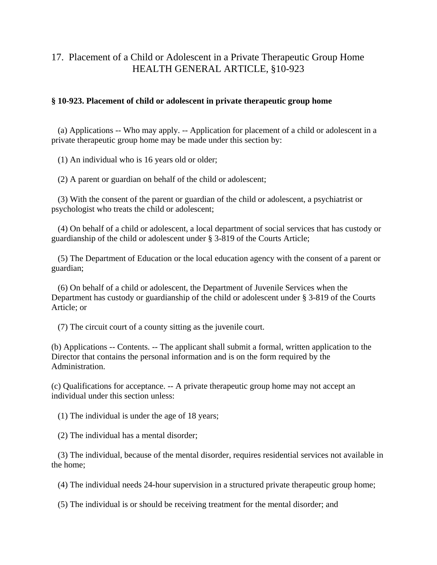## 17. Placement of a Child or Adolescent in a Private Therapeutic Group Home HEALTH GENERAL ARTICLE, §10-923

## **§ 10-923. Placement of child or adolescent in private therapeutic group home**

 (a) Applications -- Who may apply. -- Application for placement of a child or adolescent in a private therapeutic group home may be made under this section by:

(1) An individual who is 16 years old or older;

(2) A parent or guardian on behalf of the child or adolescent;

 (3) With the consent of the parent or guardian of the child or adolescent, a psychiatrist or psychologist who treats the child or adolescent;

 (4) On behalf of a child or adolescent, a local department of social services that has custody or guardianship of the child or adolescent under § 3-819 of the Courts Article;

 (5) The Department of Education or the local education agency with the consent of a parent or guardian;

 (6) On behalf of a child or adolescent, the Department of Juvenile Services when the Department has custody or guardianship of the child or adolescent under § 3-819 of the Courts Article; or

(7) The circuit court of a county sitting as the juvenile court.

(b) Applications -- Contents. -- The applicant shall submit a formal, written application to the Director that contains the personal information and is on the form required by the Administration.

(c) Qualifications for acceptance. -- A private therapeutic group home may not accept an individual under this section unless:

(1) The individual is under the age of 18 years;

(2) The individual has a mental disorder;

 (3) The individual, because of the mental disorder, requires residential services not available in the home;

(4) The individual needs 24-hour supervision in a structured private therapeutic group home;

(5) The individual is or should be receiving treatment for the mental disorder; and